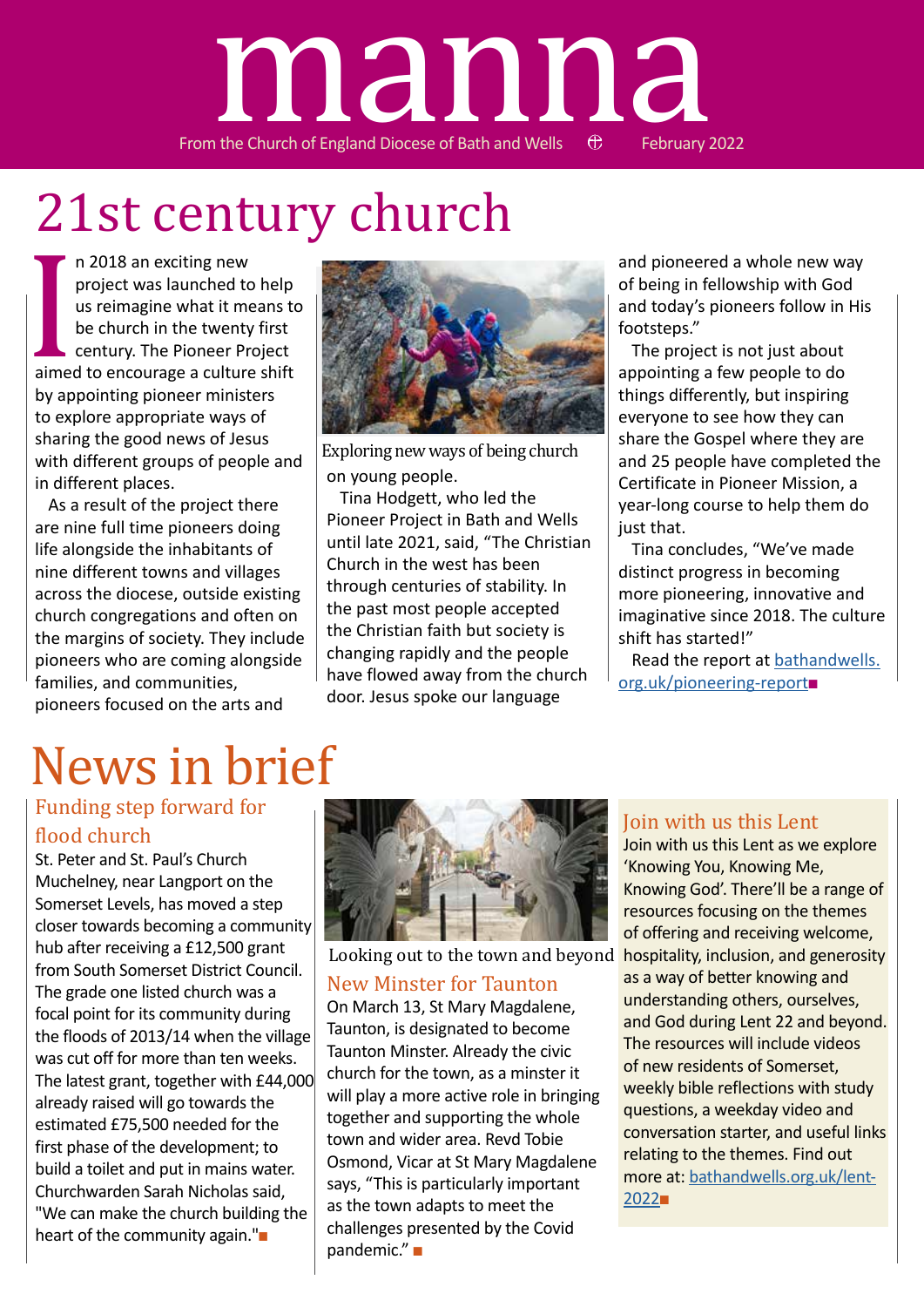# From the Church of England Diocese of Bath and Wells  $\oplus$  February 2022 manna

# 21st century church

aime n 2018 an exciting new project was launched to help us reimagine what it means to be church in the twenty first century. The Pioneer Project aimed to encourage a culture shift by appointing pioneer ministers to explore appropriate ways of sharing the good news of Jesus with different groups of people and in different places.

As a result of the project there are nine full time pioneers doing life alongside the inhabitants of nine different towns and villages across the diocese, outside existing church congregations and often on the margins of society. They include pioneers who are coming alongside families, and communities, pioneers focused on the arts and



on young people. Exploring new ways of being church

Tina Hodgett, who led the Pioneer Project in Bath and Wells until late 2021, said, "The Christian Church in the west has been through centuries of stability. In the past most people accepted the Christian faith but society is changing rapidly and the people have flowed away from the church door. Jesus spoke our language

and pioneered a whole new way of being in fellowship with God and today's pioneers follow in His footsteps."

The project is not just about appointing a few people to do things differently, but inspiring everyone to see how they can share the Gospel where they are and 25 people have completed the Certificate in Pioneer Mission, a year-long course to help them do just that.

Tina concludes, "We've made distinct progress in becoming more pioneering, innovative and imaginative since 2018. The culture shift has started!"

Read the report at bathandwells. org.uk/pioneering-report■

# News in brief

### Funding step forward for flood church

St. Peter and St. Paul's Church Muchelney, near Langport on the Somerset Levels, has moved a step closer towards becoming a community hub after receiving a £12,500 grant from South Somerset District Council. The grade one listed church was a focal point for its community during the floods of 2013/14 when the village was cut off for more than ten weeks. The latest grant, together with £44,000 already raised will go towards the estimated £75,500 needed for the first phase of the development; to build a toilet and put in mains water. Churchwarden Sarah Nicholas said, "We can make the church building the heart of the community again."■



Looking out to the town and beyond

#### New Minster for Taunton

On March 13, St Mary Magdalene, Taunton, is designated to become Taunton Minster. Already the civic church for the town, as a minster it will play a more active role in bringing together and supporting the whole town and wider area. Revd Tobie Osmond, Vicar at St Mary Magdalene says, "This is particularly important as the town adapts to meet the challenges presented by the Covid pandemic." ■

### Join with us this Lent

Join with us this Lent as we explore 'Knowing You, Knowing Me, Knowing God'. There'll be a range of resources focusing on the themes of offering and receiving welcome, hospitality, inclusion, and generosity as a way of better knowing and understanding others, ourselves, and God during Lent 22 and beyond. The resources will include videos of new residents of Somerset, weekly bible reflections with study questions, a weekday video and conversation starter, and useful links relating to the themes. Find out more at: bathandwells.org.uk/lent-2022■